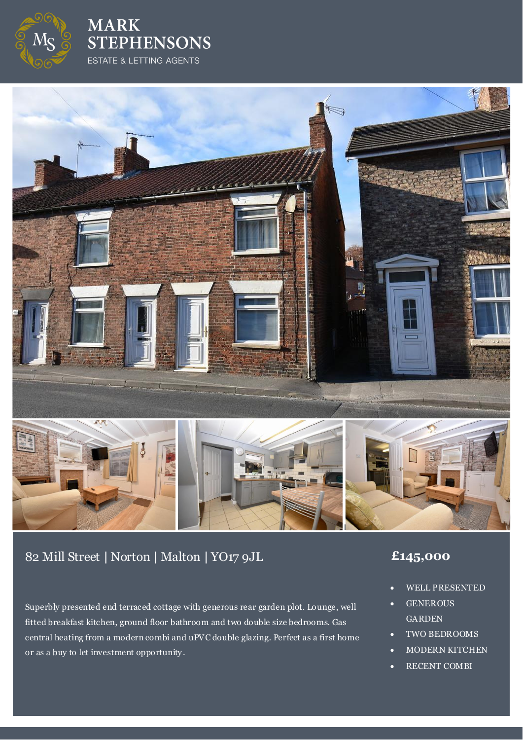

**MARK STEPHENSONS** ESTATE & LETTING AGENTS



# 82 Mill Street **|** Norton **|** Malton **|** YO17 9JL **£145,000**

Superbly presented end terraced cottage with generous rear garden plot. Lounge, well fitted breakfast kitchen, ground floor bathroom and two double size bedrooms. Gas central heating from a modern combi and uPVC double glazing. Perfect as a first home or as a buy to let investment opportunity .

- WELL PRESENTED
- GENEROUS **GARDEN**
- TWO BEDROOMS
- MODERN KITCHEN
- RECENT COMBI